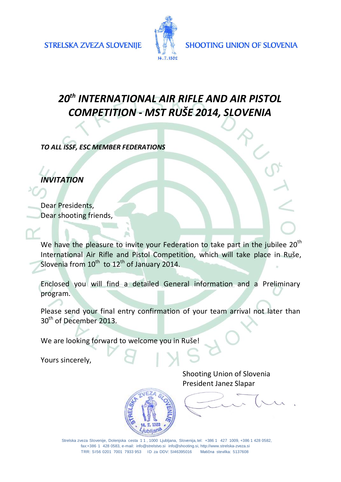

# *20th INTERNATIONAL AIR RIFLE AND AIR PISTOL COMPETITION - MST RUŠE 2014, SLOVENIA*

*TO ALL ISSF, ESC MEMBER FEDERATIONS*

*INVITATION*

Dear Presidents, Dear shooting friends,

We have the pleasure to invite your Federation to take part in the jubilee  $20^{th}$ International Air Rifle and Pistol Competition, which will take place in Ruše, Slovenia from  $10^{\text{th}}$  to  $12^{\text{th}}$  of January 2014.

Enclosed you will find a detailed General information and a Preliminary program.

Please send your final entry confirmation of your team arrival not later than 30<sup>th</sup> of December 2013.

We are looking forward to welcome you in Ruše!

Yours sincerely,

Shooting Union of Slovenia President Janez Slapar



Strelska zveza Slovenije, Dolenjska cesta 1 1 , 1000 Ljubljana, Slovenija, tel: +386 1 427 1009, +386 1 428 0582, fax:+386 1 428 0583, e-mail: [info@strelstvo.si](mailto:info@strelstvo.si) [info@shooting.si,](mailto:info@shooting.si) [http://www.strelska-zveza.si](http://www.strelska-zveza.si/) TRR: SI56 0201 7001 7933 953 ID za DDV: SI46395016 Matična stevilka: 5137608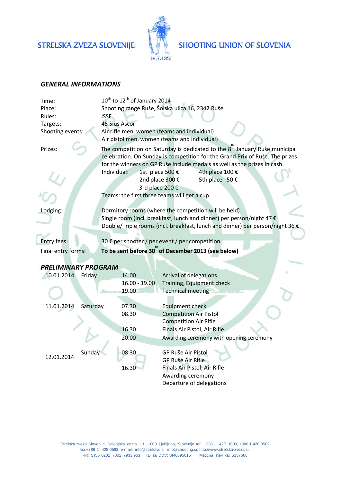## STRELSKA ZVEZA SLOVENIJE



### **SHOOTING UNION OF SLOVENIA**

#### *GENERAL INFORMATIONS*

ï

| Time:                                                                    |          | 10 <sup>th</sup> to 12 <sup>th</sup> of January 2014                                                                                                                                                                                                                                                                           |                 |                                                                               |  |  |  |
|--------------------------------------------------------------------------|----------|--------------------------------------------------------------------------------------------------------------------------------------------------------------------------------------------------------------------------------------------------------------------------------------------------------------------------------|-----------------|-------------------------------------------------------------------------------|--|--|--|
| Place:                                                                   |          | Shooting range Ruše, Šolska ulica 16, 2342 Ruše                                                                                                                                                                                                                                                                                |                 |                                                                               |  |  |  |
| Rules:                                                                   |          | <b>ISSF</b>                                                                                                                                                                                                                                                                                                                    |                 |                                                                               |  |  |  |
| Targets:                                                                 |          | <b>45 Sius Ascor</b>                                                                                                                                                                                                                                                                                                           |                 |                                                                               |  |  |  |
| Shooting events:                                                         |          | Air rifle men, women (teams and individual)                                                                                                                                                                                                                                                                                    |                 |                                                                               |  |  |  |
|                                                                          |          | Air pistol men, women (teams and individual)                                                                                                                                                                                                                                                                                   |                 |                                                                               |  |  |  |
| Prizes:                                                                  |          | The competition on Saturday is dedicated to the 8 January Ruše municipal<br>celebration. On Sunday is competition for the Grand Prix of Ruše. The prizes<br>for the winners on GP Ruše include medals as well as the prizes in cash.<br>Individual:<br>4th place 100 €<br>1st place 500 €<br>5th place 50 €<br>2nd place 300 € |                 |                                                                               |  |  |  |
|                                                                          |          | 3rd place 200 €                                                                                                                                                                                                                                                                                                                |                 |                                                                               |  |  |  |
|                                                                          |          | Teams: the first three teams will get a cup.                                                                                                                                                                                                                                                                                   |                 |                                                                               |  |  |  |
|                                                                          |          |                                                                                                                                                                                                                                                                                                                                |                 |                                                                               |  |  |  |
| Lodging:                                                                 |          | Dormitory rooms (where the competition will be held)                                                                                                                                                                                                                                                                           |                 |                                                                               |  |  |  |
|                                                                          |          | Single room (incl. breakfast, lunch and dinner) per person/night 47 €                                                                                                                                                                                                                                                          |                 |                                                                               |  |  |  |
|                                                                          |          |                                                                                                                                                                                                                                                                                                                                |                 | Double/Triple rooms (incl. breakfast, lunch and dinner) per person/night 36 € |  |  |  |
| <b>Entry fees:</b>                                                       |          |                                                                                                                                                                                                                                                                                                                                |                 |                                                                               |  |  |  |
|                                                                          |          | 30 € per shooter / per event / per competition                                                                                                                                                                                                                                                                                 |                 |                                                                               |  |  |  |
| To be sent before 30" of December 2013 (see below)<br>Final entry forms: |          |                                                                                                                                                                                                                                                                                                                                |                 |                                                                               |  |  |  |
|                                                                          |          |                                                                                                                                                                                                                                                                                                                                |                 |                                                                               |  |  |  |
| <b>PRELIMINARY PROGRAM</b>                                               |          |                                                                                                                                                                                                                                                                                                                                |                 |                                                                               |  |  |  |
| 10.01.2014                                                               | Friday   |                                                                                                                                                                                                                                                                                                                                | 14.00           | Arrival of delegations                                                        |  |  |  |
|                                                                          |          |                                                                                                                                                                                                                                                                                                                                | $16.00 - 19.00$ | Training, Equipment check                                                     |  |  |  |
|                                                                          |          |                                                                                                                                                                                                                                                                                                                                | 19.00           | <b>Technical meeting</b>                                                      |  |  |  |
| 11.01.2014                                                               | Saturday |                                                                                                                                                                                                                                                                                                                                | 07.30           | <b>Equipment check</b>                                                        |  |  |  |
|                                                                          |          |                                                                                                                                                                                                                                                                                                                                | 08.30           | <b>Competition Air Pistol</b>                                                 |  |  |  |
|                                                                          |          |                                                                                                                                                                                                                                                                                                                                |                 | <b>Competition Air Rifle</b>                                                  |  |  |  |
|                                                                          |          |                                                                                                                                                                                                                                                                                                                                | 16.30           | Finals Air Pistol, Air Rifle                                                  |  |  |  |
|                                                                          |          |                                                                                                                                                                                                                                                                                                                                | 20.00           | Awarding ceremony with opening ceremony                                       |  |  |  |
| 12.01.2014                                                               |          |                                                                                                                                                                                                                                                                                                                                |                 |                                                                               |  |  |  |
|                                                                          | Sunday   |                                                                                                                                                                                                                                                                                                                                | 08.30           | GP Ruše Air Pistol                                                            |  |  |  |
|                                                                          |          |                                                                                                                                                                                                                                                                                                                                |                 | GP Ruše Air Rifle                                                             |  |  |  |
|                                                                          |          |                                                                                                                                                                                                                                                                                                                                | 16.30           | Finals Air Pistol, Air Rifle                                                  |  |  |  |
|                                                                          |          |                                                                                                                                                                                                                                                                                                                                |                 | Awarding ceremony                                                             |  |  |  |
|                                                                          |          |                                                                                                                                                                                                                                                                                                                                |                 | Departure of delegations                                                      |  |  |  |